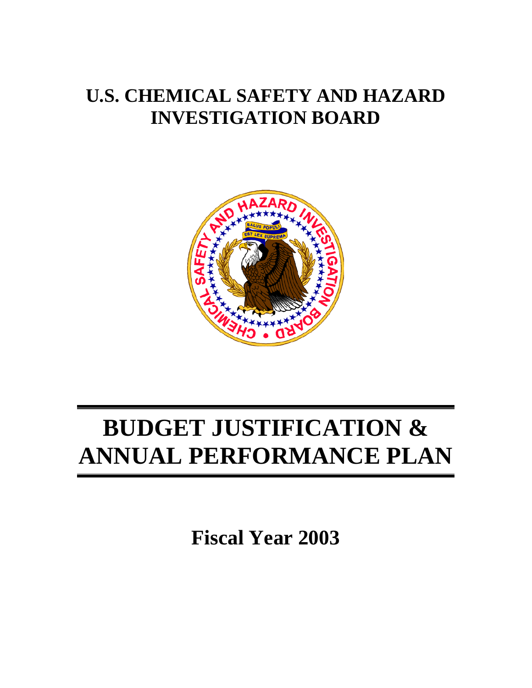# **U.S. CHEMICAL SAFETY AND HAZARD INVESTIGATION BOARD**



# **BUDGET JUSTIFICATION & ANNUAL PERFORMANCE PLAN**

**Fiscal Year 2003**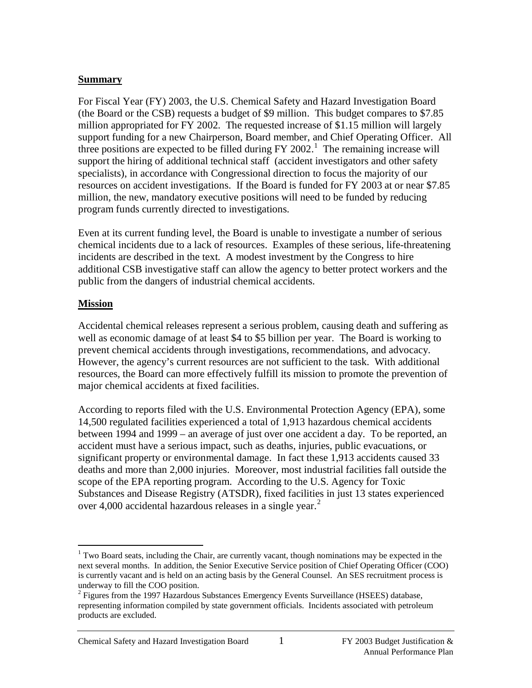#### **Summary**

For Fiscal Year (FY) 2003, the U.S. Chemical Safety and Hazard Investigation Board (the Board or the CSB) requests a budget of \$9 million. This budget compares to \$7.85 million appropriated for FY 2002. The requested increase of \$1.15 million will largely support funding for a new Chairperson, Board member, and Chief Operating Officer. All three positions are expected to be filled during  $FY$  2002.<sup>[1](#page-1-0)</sup> The remaining increase will support the hiring of additional technical staff (accident investigators and other safety specialists), in accordance with Congressional direction to focus the majority of our resources on accident investigations. If the Board is funded for FY 2003 at or near \$7.85 million, the new, mandatory executive positions will need to be funded by reducing program funds currently directed to investigations.

Even at its current funding level, the Board is unable to investigate a number of serious chemical incidents due to a lack of resources. Examples of these serious, life-threatening incidents are described in the text. A modest investment by the Congress to hire additional CSB investigative staff can allow the agency to better protect workers and the public from the dangers of industrial chemical accidents.

#### **Mission**

Accidental chemical releases represent a serious problem, causing death and suffering as well as economic damage of at least \$4 to \$5 billion per year. The Board is working to prevent chemical accidents through investigations, recommendations, and advocacy. However, the agency's current resources are not sufficient to the task. With additional resources, the Board can more effectively fulfill its mission to promote the prevention of major chemical accidents at fixed facilities.

According to reports filed with the U.S. Environmental Protection Agency (EPA), some 14,500 regulated facilities experienced a total of 1,913 hazardous chemical accidents between 1994 and 1999 – an average of just over one accident a day. To be reported, an accident must have a serious impact, such as deaths, injuries, public evacuations, or significant property or environmental damage. In fact these 1,913 accidents caused 33 deaths and more than 2,000 injuries. Moreover, most industrial facilities fall outside the scope of the EPA reporting program. According to the U.S. Agency for Toxic Substances and Disease Registry (ATSDR), fixed facilities in just 13 states experienced over 4,000 accidental hazardous releases in a single year. $<sup>2</sup>$  $<sup>2</sup>$  $<sup>2</sup>$ </sup>

<span id="page-1-0"></span><sup>&</sup>lt;sup>1</sup> Two Board seats, including the Chair, are currently vacant, though nominations may be expected in the next several months. In addition, the Senior Executive Service position of Chief Operating Officer (COO) is currently vacant and is held on an acting basis by the General Counsel. An SES recruitment process is underway to fill the COO position.

<span id="page-1-1"></span> $<sup>2</sup>$  Figures from the 1997 Hazardous Substances Emergency Events Surveillance (HSEES) database,</sup> representing information compiled by state government officials. Incidents associated with petroleum products are excluded.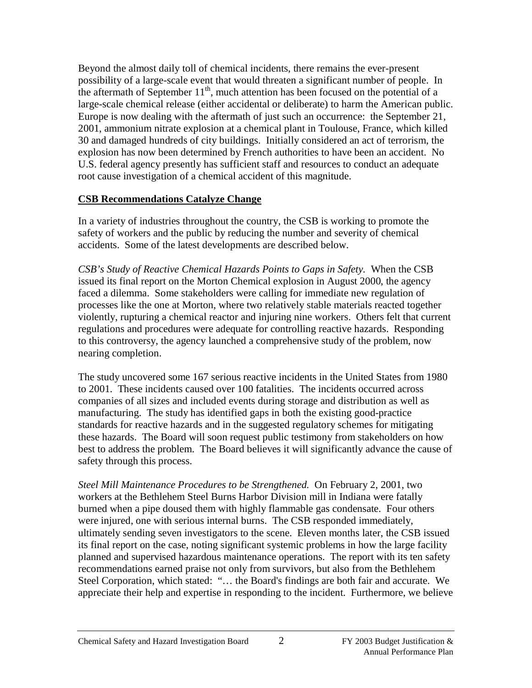Beyond the almost daily toll of chemical incidents, there remains the ever-present possibility of a large-scale event that would threaten a significant number of people. In the aftermath of September  $11<sup>th</sup>$ , much attention has been focused on the potential of a large-scale chemical release (either accidental or deliberate) to harm the American public. Europe is now dealing with the aftermath of just such an occurrence: the September 21, 2001, ammonium nitrate explosion at a chemical plant in Toulouse, France, which killed 30 and damaged hundreds of city buildings. Initially considered an act of terrorism, the explosion has now been determined by French authorities to have been an accident. No U.S. federal agency presently has sufficient staff and resources to conduct an adequate root cause investigation of a chemical accident of this magnitude.

#### **CSB Recommendations Catalyze Change**

In a variety of industries throughout the country, the CSB is working to promote the safety of workers and the public by reducing the number and severity of chemical accidents. Some of the latest developments are described below.

*CSB's Study of Reactive Chemical Hazards Points to Gaps in Safety.* When the CSB issued its final report on the Morton Chemical explosion in August 2000, the agency faced a dilemma. Some stakeholders were calling for immediate new regulation of processes like the one at Morton, where two relatively stable materials reacted together violently, rupturing a chemical reactor and injuring nine workers. Others felt that current regulations and procedures were adequate for controlling reactive hazards. Responding to this controversy, the agency launched a comprehensive study of the problem, now nearing completion.

The study uncovered some 167 serious reactive incidents in the United States from 1980 to 2001. These incidents caused over 100 fatalities. The incidents occurred across companies of all sizes and included events during storage and distribution as well as manufacturing. The study has identified gaps in both the existing good-practice standards for reactive hazards and in the suggested regulatory schemes for mitigating these hazards. The Board will soon request public testimony from stakeholders on how best to address the problem. The Board believes it will significantly advance the cause of safety through this process.

*Steel Mill Maintenance Procedures to be Strengthened.* On February 2, 2001, two workers at the Bethlehem Steel Burns Harbor Division mill in Indiana were fatally burned when a pipe doused them with highly flammable gas condensate. Four others were injured, one with serious internal burns. The CSB responded immediately, ultimately sending seven investigators to the scene. Eleven months later, the CSB issued its final report on the case, noting significant systemic problems in how the large facility planned and supervised hazardous maintenance operations. The report with its ten safety recommendations earned praise not only from survivors, but also from the Bethlehem Steel Corporation, which stated: "… the Board's findings are both fair and accurate. We appreciate their help and expertise in responding to the incident. Furthermore, we believe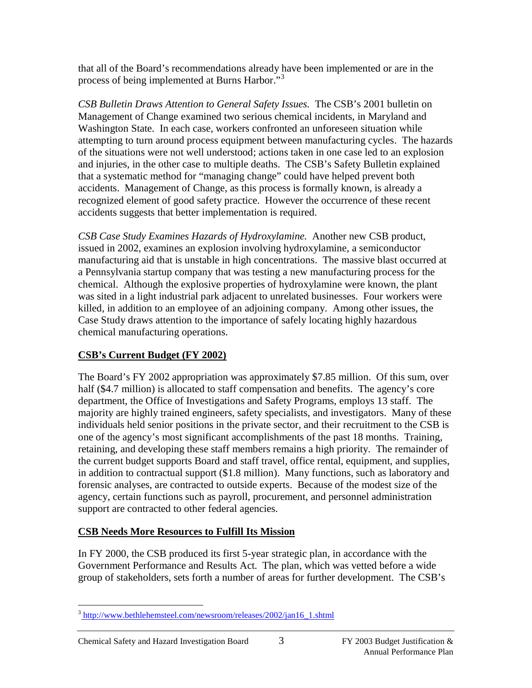that all of the Board's recommendations already have been implemented or are in the process of being implemented at Burns Harbor."<sup>[3](#page-3-0)</sup>

*CSB Bulletin Draws Attention to General Safety Issues.* The CSB's 2001 bulletin on Management of Change examined two serious chemical incidents, in Maryland and Washington State. In each case, workers confronted an unforeseen situation while attempting to turn around process equipment between manufacturing cycles. The hazards of the situations were not well understood; actions taken in one case led to an explosion and injuries, in the other case to multiple deaths. The CSB's Safety Bulletin explained that a systematic method for "managing change" could have helped prevent both accidents. Management of Change, as this process is formally known, is already a recognized element of good safety practice. However the occurrence of these recent accidents suggests that better implementation is required.

*CSB Case Study Examines Hazards of Hydroxylamine.* Another new CSB product, issued in 2002, examines an explosion involving hydroxylamine, a semiconductor manufacturing aid that is unstable in high concentrations. The massive blast occurred at a Pennsylvania startup company that was testing a new manufacturing process for the chemical. Although the explosive properties of hydroxylamine were known, the plant was sited in a light industrial park adjacent to unrelated businesses. Four workers were killed, in addition to an employee of an adjoining company. Among other issues, the Case Study draws attention to the importance of safely locating highly hazardous chemical manufacturing operations.

# **CSB's Current Budget (FY 2002)**

The Board's FY 2002 appropriation was approximately \$7.85 million. Of this sum, over half (\$4.7 million) is allocated to staff compensation and benefits. The agency's core department, the Office of Investigations and Safety Programs, employs 13 staff. The majority are highly trained engineers, safety specialists, and investigators. Many of these individuals held senior positions in the private sector, and their recruitment to the CSB is one of the agency's most significant accomplishments of the past 18 months. Training, retaining, and developing these staff members remains a high priority. The remainder of the current budget supports Board and staff travel, office rental, equipment, and supplies, in addition to contractual support (\$1.8 million). Many functions, such as laboratory and forensic analyses, are contracted to outside experts. Because of the modest size of the agency, certain functions such as payroll, procurement, and personnel administration support are contracted to other federal agencies.

# **CSB Needs More Resources to Fulfill Its Mission**

In FY 2000, the CSB produced its first 5-year strategic plan, in accordance with the Government Performance and Results Act. The plan, which was vetted before a wide group of stakeholders, sets forth a number of areas for further development. The CSB's

<span id="page-3-0"></span><sup>&</sup>lt;sup>3</sup> [http://www.bethlehemsteel.com/newsroom/releases/2002/jan16\\_1.shtml](http://www.bethlehemsteel.com/newsroom/releases/2002/jan16_1.shtml)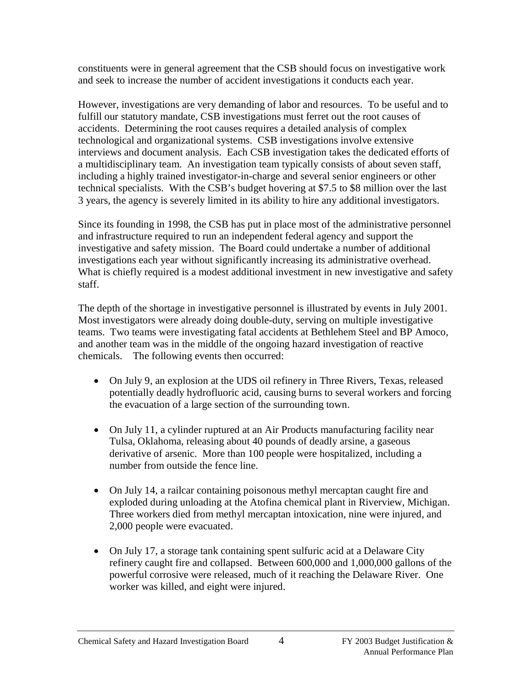constituents were in general agreement that the CSB should focus on investigative work and seek to increase the number of accident investigations it conducts each year.

However, investigations are very demanding of labor and resources. To be useful and to fulfill our statutory mandate, CSB investigations must ferret out the root causes of accidents. Determining the root causes requires a detailed analysis of complex technological and organizational systems. CSB investigations involve extensive interviews and document analysis. Each CSB investigation takes the dedicated efforts of a multidisciplinary team. An investigation team typically consists of about seven staff, including a highly trained investigator-in-charge and several senior engineers or other technical specialists. With the CSB's budget hovering at \$7.5 to \$8 million over the last 3 years, the agency is severely limited in its ability to hire any additional investigators.

Since its founding in 1998, the CSB has put in place most of the administrative personnel and infrastructure required to run an independent federal agency and support the investigative and safety mission. The Board could undertake a number of additional investigations each year without significantly increasing its administrative overhead. What is chiefly required is a modest additional investment in new investigative and safety staff.

The depth of the shortage in investigative personnel is illustrated by events in July 2001. Most investigators were already doing double-duty, serving on multiple investigative teams. Two teams were investigating fatal accidents at Bethlehem Steel and BP Amoco, and another team was in the middle of the ongoing hazard investigation of reactive chemicals. The following events then occurred:

- On July 9, an explosion at the UDS oil refinery in Three Rivers, Texas, released potentially deadly hydrofluoric acid, causing burns to several workers and forcing the evacuation of a large section of the surrounding town.
- On July 11, a cylinder ruptured at an Air Products manufacturing facility near Tulsa, Oklahoma, releasing about 40 pounds of deadly arsine, a gaseous derivative of arsenic. More than 100 people were hospitalized, including a number from outside the fence line.
- On July 14, a railcar containing poisonous methyl mercaptan caught fire and exploded during unloading at the Atofina chemical plant in Riverview, Michigan. Three workers died from methyl mercaptan intoxication, nine were injured, and 2,000 people were evacuated.
- On July 17, a storage tank containing spent sulfuric acid at a Delaware City refinery caught fire and collapsed. Between 600,000 and 1,000,000 gallons of the powerful corrosive were released, much of it reaching the Delaware River. One worker was killed, and eight were injured.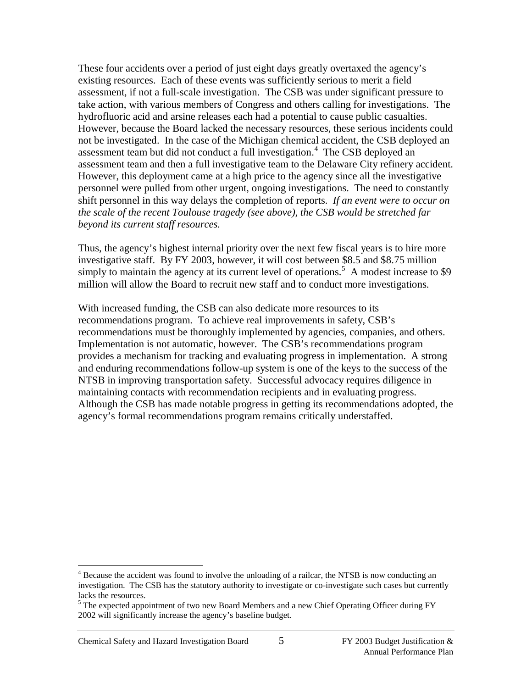These four accidents over a period of just eight days greatly overtaxed the agency's existing resources. Each of these events was sufficiently serious to merit a field assessment, if not a full-scale investigation. The CSB was under significant pressure to take action, with various members of Congress and others calling for investigations. The hydrofluoric acid and arsine releases each had a potential to cause public casualties. However, because the Board lacked the necessary resources, these serious incidents could not be investigated. In the case of the Michigan chemical accident, the CSB deployed an assessment team but did not conduct a full investigation.<sup>[4](#page-5-0)</sup> The CSB deployed an assessment team and then a full investigative team to the Delaware City refinery accident. However, this deployment came at a high price to the agency since all the investigative personnel were pulled from other urgent, ongoing investigations. The need to constantly shift personnel in this way delays the completion of reports. *If an event were to occur on the scale of the recent Toulouse tragedy (see above), the CSB would be stretched far beyond its current staff resources.*

Thus, the agency's highest internal priority over the next few fiscal years is to hire more investigative staff. By FY 2003, however, it will cost between \$8.5 and \$8.75 million simply to maintain the agency at its current level of operations.<sup>[5](#page-5-1)</sup> A modest increase to \$9 million will allow the Board to recruit new staff and to conduct more investigations.

With increased funding, the CSB can also dedicate more resources to its recommendations program. To achieve real improvements in safety, CSB's recommendations must be thoroughly implemented by agencies, companies, and others. Implementation is not automatic, however. The CSB's recommendations program provides a mechanism for tracking and evaluating progress in implementation. A strong and enduring recommendations follow-up system is one of the keys to the success of the NTSB in improving transportation safety. Successful advocacy requires diligence in maintaining contacts with recommendation recipients and in evaluating progress. Although the CSB has made notable progress in getting its recommendations adopted, the agency's formal recommendations program remains critically understaffed.

<span id="page-5-0"></span><sup>&</sup>lt;sup>4</sup> Because the accident was found to involve the unloading of a railcar, the NTSB is now conducting an investigation. The CSB has the statutory authority to investigate or co-investigate such cases but currently lacks the resources.

<span id="page-5-1"></span><sup>&</sup>lt;sup>5</sup> The expected appointment of two new Board Members and a new Chief Operating Officer during FY 2002 will significantly increase the agency's baseline budget.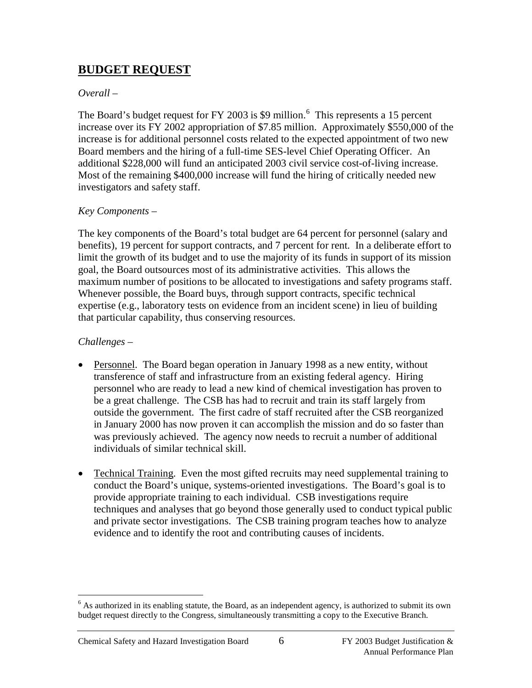# **BUDGET REQUEST**

#### *Overall –*

The Board's budget request for FY 2003 is \$9 million.<sup>[6](#page-6-0)</sup> This represents a 15 percent increase over its FY 2002 appropriation of \$7.85 million. Approximately \$550,000 of the increase is for additional personnel costs related to the expected appointment of two new Board members and the hiring of a full-time SES-level Chief Operating Officer. An additional \$228,000 will fund an anticipated 2003 civil service cost-of-living increase. Most of the remaining \$400,000 increase will fund the hiring of critically needed new investigators and safety staff.

#### *Key Components –*

The key components of the Board's total budget are 64 percent for personnel (salary and benefits), 19 percent for support contracts, and 7 percent for rent. In a deliberate effort to limit the growth of its budget and to use the majority of its funds in support of its mission goal, the Board outsources most of its administrative activities. This allows the maximum number of positions to be allocated to investigations and safety programs staff. Whenever possible, the Board buys, through support contracts, specific technical expertise (e.g., laboratory tests on evidence from an incident scene) in lieu of building that particular capability, thus conserving resources.

#### *Challenges –*

- Personnel. The Board began operation in January 1998 as a new entity, without transference of staff and infrastructure from an existing federal agency. Hiring personnel who are ready to lead a new kind of chemical investigation has proven to be a great challenge. The CSB has had to recruit and train its staff largely from outside the government. The first cadre of staff recruited after the CSB reorganized in January 2000 has now proven it can accomplish the mission and do so faster than was previously achieved. The agency now needs to recruit a number of additional individuals of similar technical skill.
- Technical Training. Even the most gifted recruits may need supplemental training to conduct the Board's unique, systems-oriented investigations. The Board's goal is to provide appropriate training to each individual. CSB investigations require techniques and analyses that go beyond those generally used to conduct typical public and private sector investigations. The CSB training program teaches how to analyze evidence and to identify the root and contributing causes of incidents.

<span id="page-6-0"></span> $6$  As authorized in its enabling statute, the Board, as an independent agency, is authorized to submit its own budget request directly to the Congress, simultaneously transmitting a copy to the Executive Branch.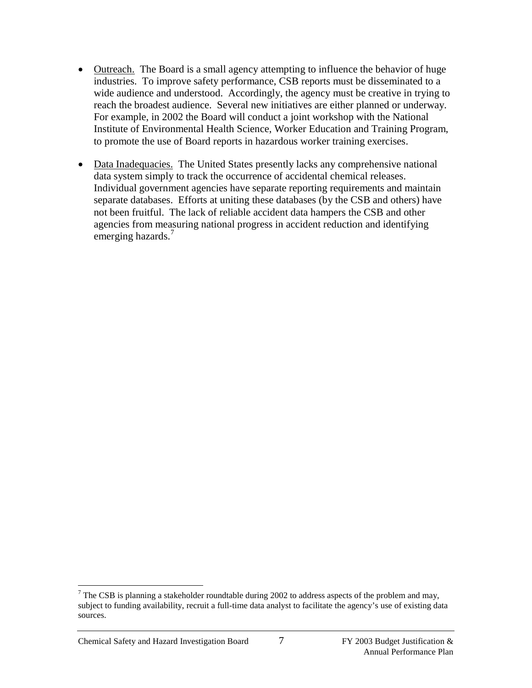- Outreach. The Board is a small agency attempting to influence the behavior of huge industries. To improve safety performance, CSB reports must be disseminated to a wide audience and understood. Accordingly, the agency must be creative in trying to reach the broadest audience. Several new initiatives are either planned or underway. For example, in 2002 the Board will conduct a joint workshop with the National Institute of Environmental Health Science, Worker Education and Training Program, to promote the use of Board reports in hazardous worker training exercises.
- Data Inadequacies. The United States presently lacks any comprehensive national data system simply to track the occurrence of accidental chemical releases. Individual government agencies have separate reporting requirements and maintain separate databases. Efforts at uniting these databases (by the CSB and others) have not been fruitful. The lack of reliable accident data hampers the CSB and other agencies from measuring national progress in accident reduction and identifying emerging hazards.<sup>[7](#page-7-0)</sup>

<span id="page-7-0"></span><sup>&</sup>lt;sup>7</sup> The CSB is planning a stakeholder roundtable during 2002 to address aspects of the problem and may, subject to funding availability, recruit a full-time data analyst to facilitate the agency's use of existing data sources.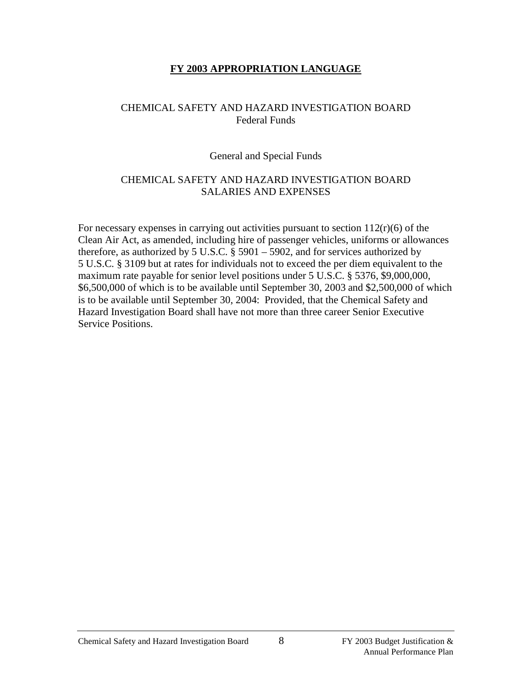#### **FY 2003 APPROPRIATION LANGUAGE**

#### CHEMICAL SAFETY AND HAZARD INVESTIGATION BOARD Federal Funds

#### General and Special Funds

#### CHEMICAL SAFETY AND HAZARD INVESTIGATION BOARD SALARIES AND EXPENSES

For necessary expenses in carrying out activities pursuant to section  $112(r)(6)$  of the Clean Air Act, as amended, including hire of passenger vehicles, uniforms or allowances therefore, as authorized by 5 U.S.C. § 5901 – 5902, and for services authorized by 5 U.S.C. § 3109 but at rates for individuals not to exceed the per diem equivalent to the maximum rate payable for senior level positions under 5 U.S.C. § 5376, \$9,000,000, \$6,500,000 of which is to be available until September 30, 2003 and \$2,500,000 of which is to be available until September 30, 2004: Provided, that the Chemical Safety and Hazard Investigation Board shall have not more than three career Senior Executive Service Positions.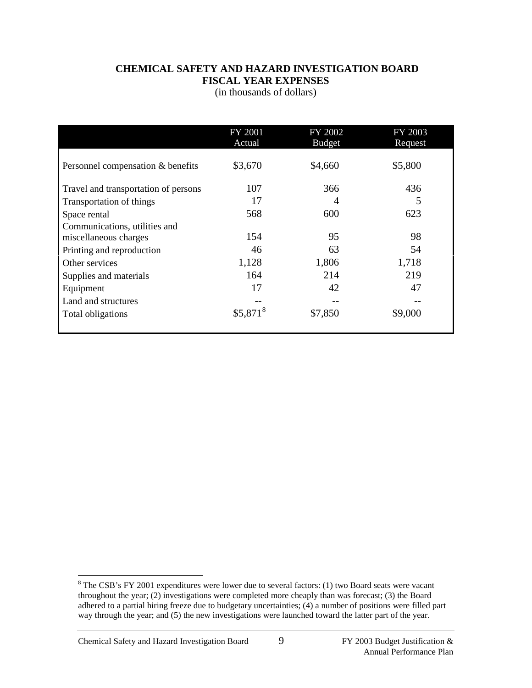#### **CHEMICAL SAFETY AND HAZARD INVESTIGATION BOARD FISCAL YEAR EXPENSES**

(in thousands of dollars)

|                                      | FY 2001<br>Actual     | FY 2002<br><b>Budget</b> | FY 2003<br>Request |
|--------------------------------------|-----------------------|--------------------------|--------------------|
| Personnel compensation & benefits    | \$3,670               | \$4,660                  | \$5,800            |
| Travel and transportation of persons | 107                   | 366                      | 436                |
| Transportation of things             | 17                    | 4                        | 5                  |
| Space rental                         | 568                   | 600                      | 623                |
| Communications, utilities and        |                       |                          |                    |
| miscellaneous charges                | 154                   | 95                       | 98                 |
| Printing and reproduction            | 46                    | 63                       | 54                 |
| Other services                       | 1,128                 | 1,806                    | 1,718              |
| Supplies and materials               | 164                   | 214                      | 219                |
| Equipment                            | 17                    | 42                       | 47                 |
| Land and structures                  |                       |                          |                    |
| Total obligations                    | $$5,871$ <sup>8</sup> | \$7,850                  | \$9,000            |

<span id="page-9-0"></span><sup>&</sup>lt;sup>8</sup> The CSB's FY 2001 expenditures were lower due to several factors: (1) two Board seats were vacant throughout the year; (2) investigations were completed more cheaply than was forecast; (3) the Board adhered to a partial hiring freeze due to budgetary uncertainties; (4) a number of positions were filled part way through the year; and (5) the new investigations were launched toward the latter part of the year.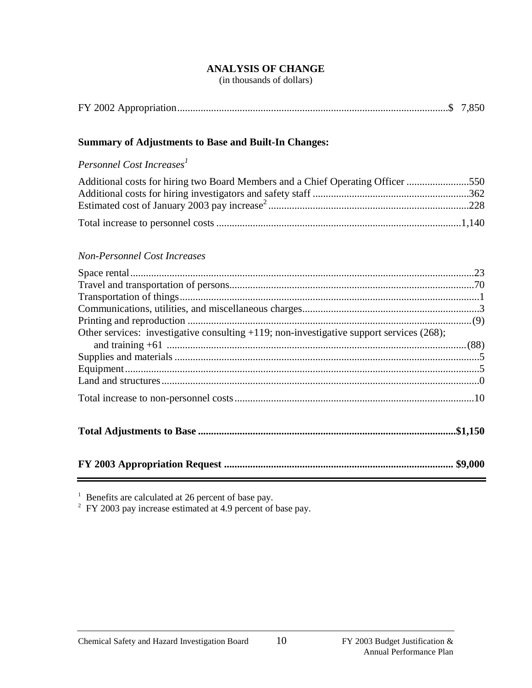#### **ANALYSIS OF CHANGE**

(in thousands of dollars)

|--|--|--|--|

#### **Summary of Adjustments to Base and Built-In Changes:**

#### *Personnel Cost Increases<sup>1</sup>*

| Additional costs for hiring two Board Members and a Chief Operating Officer 550 |  |
|---------------------------------------------------------------------------------|--|
|                                                                                 |  |
|                                                                                 |  |
|                                                                                 |  |

#### *Non-Personnel Cost Increases*

| Other services: investigative consulting +119; non-investigative support services (268); |  |
|------------------------------------------------------------------------------------------|--|
|                                                                                          |  |
|                                                                                          |  |
|                                                                                          |  |
|                                                                                          |  |
|                                                                                          |  |
|                                                                                          |  |
|                                                                                          |  |

 $1$  Benefits are calculated at 26 percent of base pay.

 $2$  FY 2003 pay increase estimated at 4.9 percent of base pay.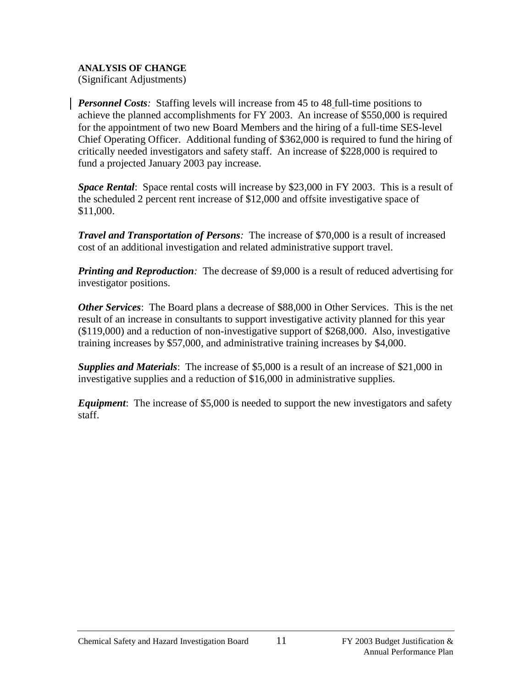#### **ANALYSIS OF CHANGE**

(Significant Adjustments)

*Personnel Costs*: Staffing levels will increase from 45 to 48 full-time positions to achieve the planned accomplishments for FY 2003. An increase of \$550,000 is required for the appointment of two new Board Members and the hiring of a full-time SES-level Chief Operating Officer. Additional funding of \$362,000 is required to fund the hiring of critically needed investigators and safety staff. An increase of \$228,000 is required to fund a projected January 2003 pay increase.

*Space Rental*: Space rental costs will increase by \$23,000 in FY 2003. This is a result of the scheduled 2 percent rent increase of \$12,000 and offsite investigative space of \$11,000.

*Travel and Transportation of Persons:* The increase of \$70,000 is a result of increased cost of an additional investigation and related administrative support travel.

*Printing and Reproduction:* The decrease of \$9,000 is a result of reduced advertising for investigator positions.

*Other Services*: The Board plans a decrease of \$88,000 in Other Services. This is the net result of an increase in consultants to support investigative activity planned for this year (\$119,000) and a reduction of non-investigative support of \$268,000. Also, investigative training increases by \$57,000, and administrative training increases by \$4,000.

*Supplies and Materials*: The increase of \$5,000 is a result of an increase of \$21,000 in investigative supplies and a reduction of \$16,000 in administrative supplies.

*Equipment*: The increase of \$5,000 is needed to support the new investigators and safety staff.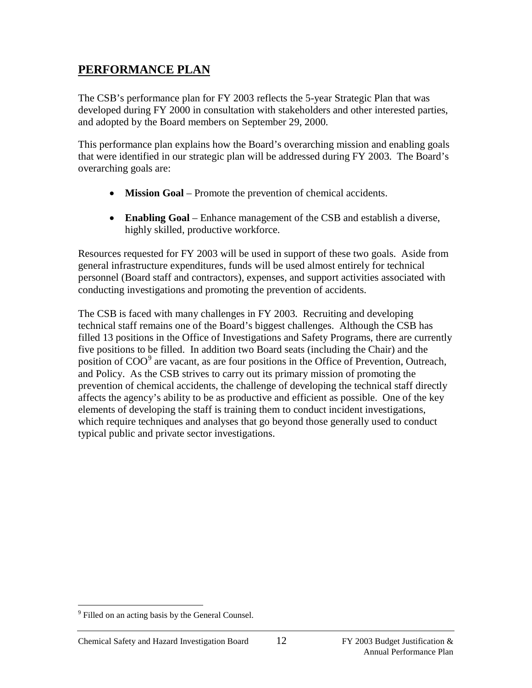# **PERFORMANCE PLAN**

The CSB's performance plan for FY 2003 reflects the 5-year Strategic Plan that was developed during FY 2000 in consultation with stakeholders and other interested parties, and adopted by the Board members on September 29, 2000.

This performance plan explains how the Board's overarching mission and enabling goals that were identified in our strategic plan will be addressed during FY 2003. The Board's overarching goals are:

- **Mission Goal** Promote the prevention of chemical accidents.
- **Enabling Goal** Enhance management of the CSB and establish a diverse, highly skilled, productive workforce.

Resources requested for FY 2003 will be used in support of these two goals. Aside from general infrastructure expenditures, funds will be used almost entirely for technical personnel (Board staff and contractors), expenses, and support activities associated with conducting investigations and promoting the prevention of accidents.

The CSB is faced with many challenges in FY 2003. Recruiting and developing technical staff remains one of the Board's biggest challenges. Although the CSB has filled 13 positions in the Office of Investigations and Safety Programs, there are currently five positions to be filled. In addition two Board seats (including the Chair) and the position of COO<sup>[9](#page-12-0)</sup> are vacant, as are four positions in the Office of Prevention, Outreach, and Policy. As the CSB strives to carry out its primary mission of promoting the prevention of chemical accidents, the challenge of developing the technical staff directly affects the agency's ability to be as productive and efficient as possible. One of the key elements of developing the staff is training them to conduct incident investigations, which require techniques and analyses that go beyond those generally used to conduct typical public and private sector investigations.

<span id="page-12-0"></span><sup>&</sup>lt;sup>9</sup> Filled on an acting basis by the General Counsel.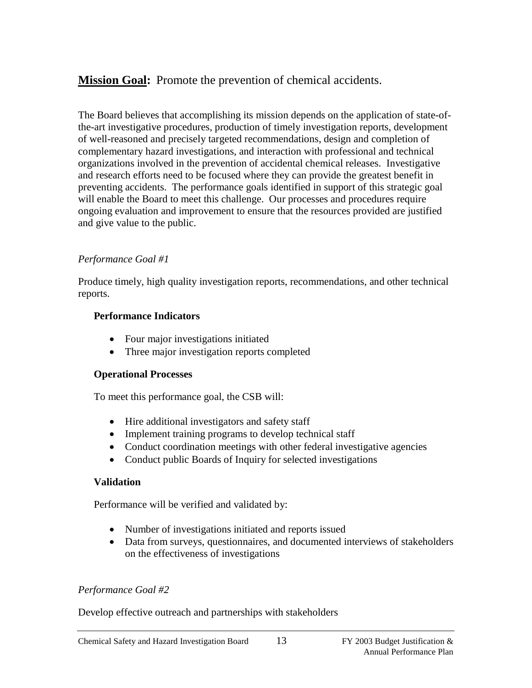**Mission Goal:** Promote the prevention of chemical accidents.

The Board believes that accomplishing its mission depends on the application of state-ofthe-art investigative procedures, production of timely investigation reports, development of well-reasoned and precisely targeted recommendations, design and completion of complementary hazard investigations, and interaction with professional and technical organizations involved in the prevention of accidental chemical releases. Investigative and research efforts need to be focused where they can provide the greatest benefit in preventing accidents. The performance goals identified in support of this strategic goal will enable the Board to meet this challenge. Our processes and procedures require ongoing evaluation and improvement to ensure that the resources provided are justified and give value to the public.

# *Performance Goal #1*

Produce timely, high quality investigation reports, recommendations, and other technical reports.

#### **Performance Indicators**

- Four major investigations initiated
- Three major investigation reports completed

#### **Operational Processes**

To meet this performance goal, the CSB will:

- Hire additional investigators and safety staff
- Implement training programs to develop technical staff
- Conduct coordination meetings with other federal investigative agencies
- Conduct public Boards of Inquiry for selected investigations

# **Validation**

Performance will be verified and validated by:

- Number of investigations initiated and reports issued
- Data from surveys, questionnaires, and documented interviews of stakeholders on the effectiveness of investigations

# *Performance Goal #2*

Develop effective outreach and partnerships with stakeholders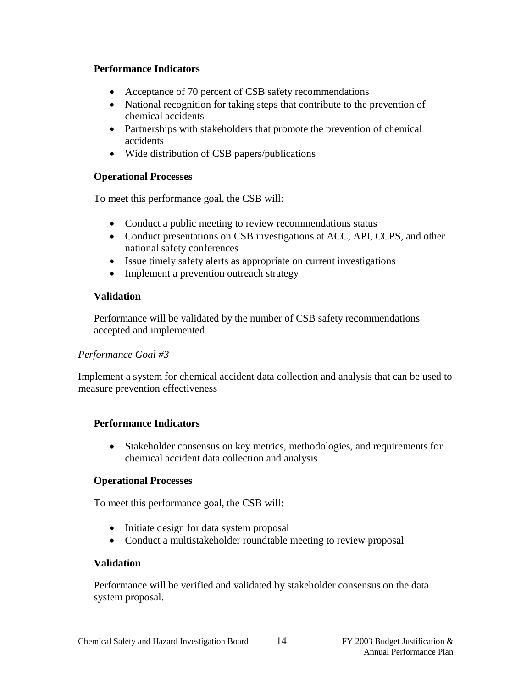#### **Performance Indicators**

- Acceptance of 70 percent of CSB safety recommendations
- National recognition for taking steps that contribute to the prevention of chemical accidents
- Partnerships with stakeholders that promote the prevention of chemical accidents
- Wide distribution of CSB papers/publications

#### **Operational Processes**

To meet this performance goal, the CSB will:

- Conduct a public meeting to review recommendations status
- Conduct presentations on CSB investigations at ACC, API, CCPS, and other national safety conferences
- Issue timely safety alerts as appropriate on current investigations
- Implement a prevention outreach strategy

# **Validation**

Performance will be validated by the number of CSB safety recommendations accepted and implemented

# *Performance Goal #3*

Implement a system for chemical accident data collection and analysis that can be used to measure prevention effectiveness

# **Performance Indicators**

• Stakeholder consensus on key metrics, methodologies, and requirements for chemical accident data collection and analysis

# **Operational Processes**

To meet this performance goal, the CSB will:

- Initiate design for data system proposal
- Conduct a multistakeholder roundtable meeting to review proposal

# **Validation**

Performance will be verified and validated by stakeholder consensus on the data system proposal.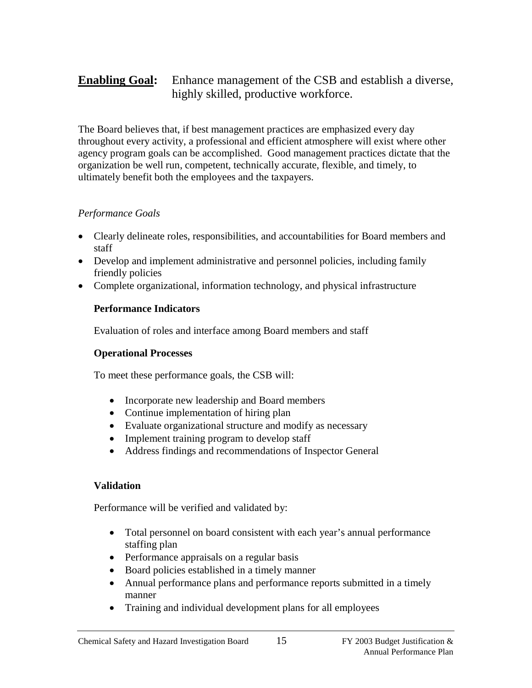# **Enabling Goal:** Enhance management of the CSB and establish a diverse, highly skilled, productive workforce.

The Board believes that, if best management practices are emphasized every day throughout every activity, a professional and efficient atmosphere will exist where other agency program goals can be accomplished. Good management practices dictate that the organization be well run, competent, technically accurate, flexible, and timely, to ultimately benefit both the employees and the taxpayers.

#### *Performance Goals*

- Clearly delineate roles, responsibilities, and accountabilities for Board members and staff
- Develop and implement administrative and personnel policies, including family friendly policies
- Complete organizational, information technology, and physical infrastructure

# **Performance Indicators**

Evaluation of roles and interface among Board members and staff

#### **Operational Processes**

To meet these performance goals, the CSB will:

- Incorporate new leadership and Board members
- Continue implementation of hiring plan
- Evaluate organizational structure and modify as necessary
- Implement training program to develop staff
- Address findings and recommendations of Inspector General

# **Validation**

Performance will be verified and validated by:

- Total personnel on board consistent with each year's annual performance staffing plan
- Performance appraisals on a regular basis
- Board policies established in a timely manner
- Annual performance plans and performance reports submitted in a timely manner
- Training and individual development plans for all employees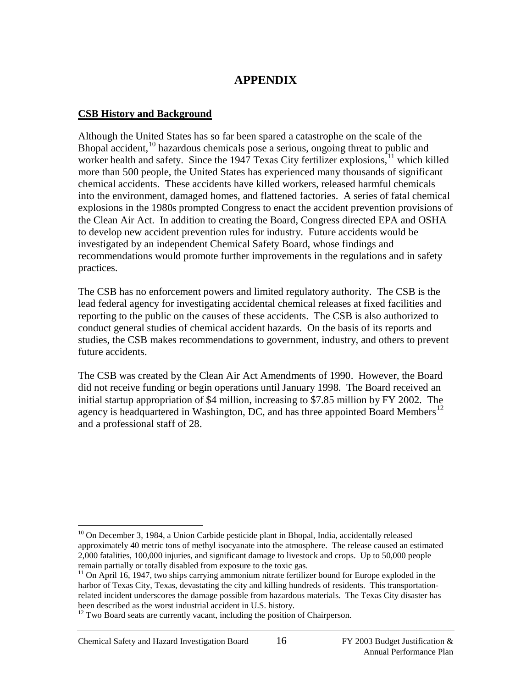# **APPENDIX**

#### **CSB History and Background**

Although the United States has so far been spared a catastrophe on the scale of the Bhopal accident,<sup>[10](#page-16-0)</sup> hazardous chemicals pose a serious, ongoing threat to public and worker health and safety. Since the 1947 Texas City fertilizer explosions,  $11$  which killed more than 500 people, the United States has experienced many thousands of significant chemical accidents. These accidents have killed workers, released harmful chemicals into the environment, damaged homes, and flattened factories. A series of fatal chemical explosions in the 1980s prompted Congress to enact the accident prevention provisions of the Clean Air Act. In addition to creating the Board, Congress directed EPA and OSHA to develop new accident prevention rules for industry. Future accidents would be investigated by an independent Chemical Safety Board, whose findings and recommendations would promote further improvements in the regulations and in safety practices.

The CSB has no enforcement powers and limited regulatory authority. The CSB is the lead federal agency for investigating accidental chemical releases at fixed facilities and reporting to the public on the causes of these accidents. The CSB is also authorized to conduct general studies of chemical accident hazards. On the basis of its reports and studies, the CSB makes recommendations to government, industry, and others to prevent future accidents.

The CSB was created by the Clean Air Act Amendments of 1990. However, the Board did not receive funding or begin operations until January 1998. The Board received an initial startup appropriation of \$4 million, increasing to \$7.85 million by FY 2002. The agency is headquartered in Washington, DC, and has three appointed Board Members<sup>[12](#page-16-2)</sup> and a professional staff of 28.

<span id="page-16-0"></span> $10$  On December 3, 1984, a Union Carbide pesticide plant in Bhopal, India, accidentally released approximately 40 metric tons of methyl isocyanate into the atmosphere. The release caused an estimated 2,000 fatalities, 100,000 injuries, and significant damage to livestock and crops. Up to 50,000 people remain partially or totally disabled from exposure to the toxic gas.

<span id="page-16-1"></span> $11$  On April 16, 1947, two ships carrying ammonium nitrate fertilizer bound for Europe exploded in the harbor of Texas City, Texas, devastating the city and killing hundreds of residents. This transportationrelated incident underscores the damage possible from hazardous materials. The Texas City disaster has been described as the worst industrial accident in U.S. history.

<span id="page-16-2"></span> $12$  Two Board seats are currently vacant, including the position of Chairperson.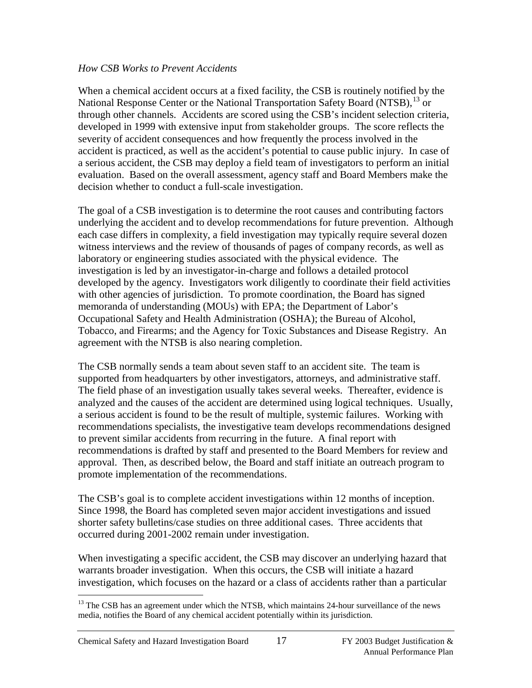#### *How CSB Works to Prevent Accidents*

When a chemical accident occurs at a fixed facility, the CSB is routinely notified by the National Response Center or the National Transportation Safety Board (NTSB), <sup>[13](#page-17-0)</sup> or through other channels. Accidents are scored using the CSB's incident selection criteria, developed in 1999 with extensive input from stakeholder groups. The score reflects the severity of accident consequences and how frequently the process involved in the accident is practiced, as well as the accident's potential to cause public injury. In case of a serious accident, the CSB may deploy a field team of investigators to perform an initial evaluation. Based on the overall assessment, agency staff and Board Members make the decision whether to conduct a full-scale investigation.

The goal of a CSB investigation is to determine the root causes and contributing factors underlying the accident and to develop recommendations for future prevention. Although each case differs in complexity, a field investigation may typically require several dozen witness interviews and the review of thousands of pages of company records, as well as laboratory or engineering studies associated with the physical evidence. The investigation is led by an investigator-in-charge and follows a detailed protocol developed by the agency. Investigators work diligently to coordinate their field activities with other agencies of jurisdiction. To promote coordination, the Board has signed memoranda of understanding (MOUs) with EPA; the Department of Labor's Occupational Safety and Health Administration (OSHA); the Bureau of Alcohol, Tobacco, and Firearms; and the Agency for Toxic Substances and Disease Registry. An agreement with the NTSB is also nearing completion.

The CSB normally sends a team about seven staff to an accident site. The team is supported from headquarters by other investigators, attorneys, and administrative staff. The field phase of an investigation usually takes several weeks. Thereafter, evidence is analyzed and the causes of the accident are determined using logical techniques. Usually, a serious accident is found to be the result of multiple, systemic failures. Working with recommendations specialists, the investigative team develops recommendations designed to prevent similar accidents from recurring in the future. A final report with recommendations is drafted by staff and presented to the Board Members for review and approval. Then, as described below, the Board and staff initiate an outreach program to promote implementation of the recommendations.

The CSB's goal is to complete accident investigations within 12 months of inception. Since 1998, the Board has completed seven major accident investigations and issued shorter safety bulletins/case studies on three additional cases. Three accidents that occurred during 2001-2002 remain under investigation.

When investigating a specific accident, the CSB may discover an underlying hazard that warrants broader investigation. When this occurs, the CSB will initiate a hazard investigation, which focuses on the hazard or a class of accidents rather than a particular

<span id="page-17-0"></span><sup>&</sup>lt;sup>13</sup> The CSB has an agreement under which the NTSB, which maintains 24-hour surveillance of the news media, notifies the Board of any chemical accident potentially within its jurisdiction.